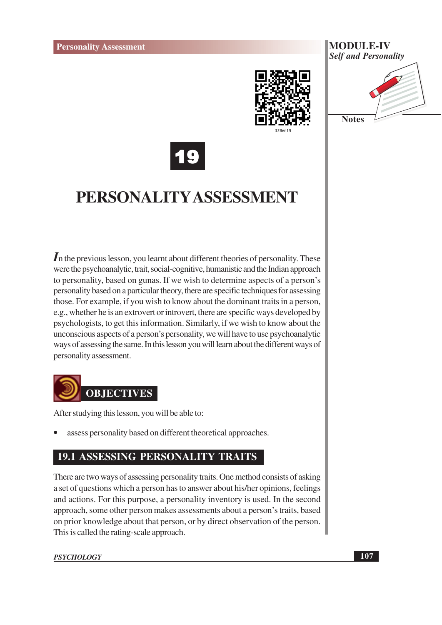



**Notes** 



## PERSONALITY ASSESSMENT

 $\mathbf I$  in the previous lesson, you learnt about different theories of personality. These were the psychoanalytic, trait, social-cognitive, humanistic and the Indian approach to personality, based on gunas. If we wish to determine aspects of a person's personality based on a particular theory, there are specific techniques for assessing those. For example, if you wish to know about the dominant traits in a person, e.g., whether he is an extrovert or introvert, there are specific ways developed by psychologists, to get this information. Similarly, if we wish to know about the unconscious aspects of a person's personality, we will have to use psychoanalytic ways of assessing the same. In this lesson you will learn about the different ways of personality assessment.



After studying this lesson, you will be able to:

assess personality based on different theoretical approaches.

#### **19.1 ASSESSING PERSONALITY TRAITS**

There are two ways of assessing personality traits. One method consists of asking a set of questions which a person has to answer about his/her opinions, feelings and actions. For this purpose, a personality inventory is used. In the second approach, some other person makes assessments about a person's traits, based on prior knowledge about that person, or by direct observation of the person. This is called the rating-scale approach.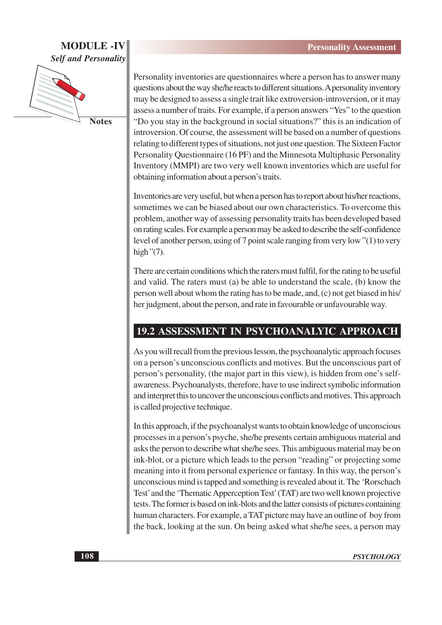#### **MODULE -IV Self and Personality**



Personality inventories are questionnaires where a person has to answer many questions about the way she/he reacts to different situations. A personality inventory may be designed to assess a single trait like extroversion-introversion, or it may assess a number of traits. For example, if a person answers "Yes" to the question "Do you stay in the background in social situations?" this is an indication of introversion. Of course, the assessment will be based on a number of questions relating to different types of situations, not just one question. The Sixteen Factor Personality Questionnaire (16 PF) and the Minnesota Multiphasic Personality Inventory (MMPI) are two very well known inventories which are useful for obtaining information about a person's traits.

Inventories are very useful, but when a person has to report about his/her reactions, sometimes we can be biased about our own characteristics. To overcome this problem, another way of assessing personality traits has been developed based on rating scales. For example a person may be asked to describe the self-confidence level of another person, using of 7 point scale ranging from very low "(1) to very high" $(7)$ .

There are certain conditions which the raters must fulfil, for the rating to be useful and valid. The raters must (a) be able to understand the scale, (b) know the person well about whom the rating has to be made, and, (c) not get biased in his/ her judgment, about the person, and rate in favourable or unfavourable way.

#### **19.2 ASSESSMENT IN PSYCHOANALYIC APPROACH**

As you will recall from the previous lesson, the psychoanalytic approach focuses on a person's unconscious conflicts and motives. But the unconscious part of person's personality, (the major part in this view), is hidden from one's selfawareness. Psychoanalysts, therefore, have to use indirect symbolic information and interpret this to uncover the unconscious conflicts and motives. This approach is called projective technique.

In this approach, if the psychoanalyst wants to obtain knowledge of unconscious processes in a person's psyche, she/he presents certain ambiguous material and asks the person to describe what she/he sees. This ambiguous material may be on ink-blot, or a picture which leads to the person "reading" or projecting some meaning into it from personal experience or fantasy. In this way, the person's unconscious mind is tapped and something is revealed about it. The 'Rorschach' Test' and the 'Thematic Apperception Test' (TAT) are two well known projective tests. The former is based on ink-blots and the latter consists of pictures containing human characters. For example, a TAT picture may have an outline of boy from the back, looking at the sun. On being asked what she/he sees, a person may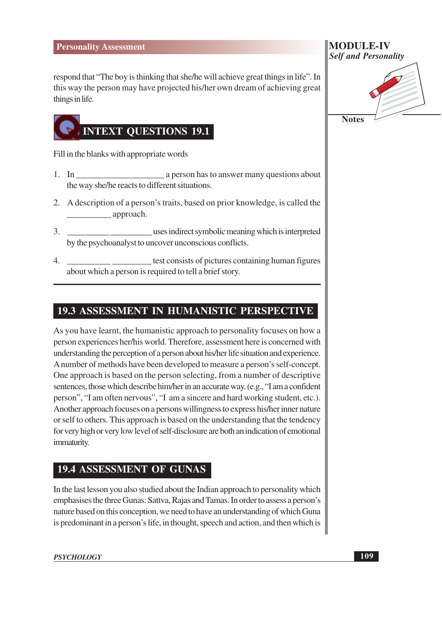respond that "The boy is thinking that she/he will achieve great things in life". In this way the person may have projected his/her own dream of achieving great things in life.



Fill in the blanks with appropriate words

- $1.$  In a person has to answer many questions about the way she/he reacts to different situations.
- 2. A description of a person's traits, based on prior knowledge, is called the  $\equiv$  approach.
- uses indirect symbolic meaning which is interpreted  $\mathcal{E}$ by the psychoanalyst to uncover unconscious conflicts.
- test consists of pictures containing human figures 4. about which a person is required to tell a brief story.

#### 19.3 ASSESSMENT IN HUMANISTIC PERSPECTIVE

As you have learnt, the humanistic approach to personality focuses on how a person experiences her/his world. Therefore, assessment here is concerned with understanding the perception of a person about his/her life situation and experience. A number of methods have been developed to measure a person's self-concept. One approach is based on the person selecting, from a number of descriptive sentences, those which describe him/her in an accurate way. (e.g., "I am a confident person", "I am often nervous", "I am a sincere and hard working student, etc.). Another approach focuses on a persons willingness to express his/her inner nature or self to others. This approach is based on the understanding that the tendency for very high or very low level of self-disclosure are both an indication of emotional immaturity.

#### **19.4 ASSESSMENT OF GUNAS**

In the last lesson you also studied about the Indian approach to personality which emphasises the three Gunas: Sattva, Rajas and Tamas. In order to assess a person's nature based on this conception, we need to have an understanding of which Guna is predominant in a person's life, in thought, speech and action, and then which is

| <b>MODULE-IV</b>            |  |
|-----------------------------|--|
| <b>Self and Personality</b> |  |

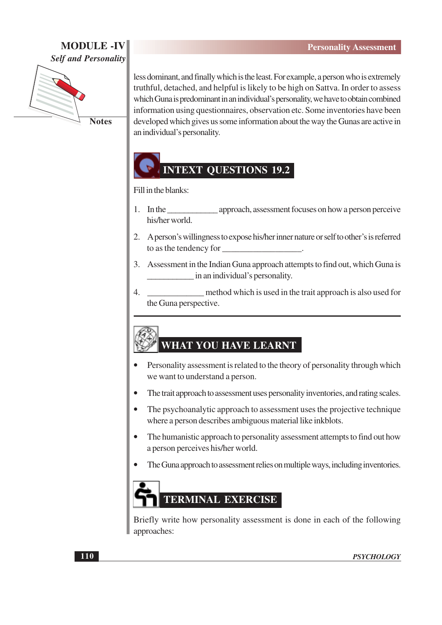#### **MODULE -IV Self and Personality**



**Notes** 

less dominant, and finally which is the least. For example, a person who is extremely truthful, detached, and helpful is likely to be high on Sattva. In order to assess which Guna is predominant in an individual's personality, we have to obtain combined information using questionnaires, observation etc. Some inventories have been developed which gives us some information about the way the Gunas are active in an individual's personality.

# **INTEXT QUESTIONS 19.2**

Fill in the blanks:

- approach, assessment focuses on how a person perceive 1. In the his/her world.
- 2. A person's willingness to expose his/her inner nature or self to other's is referred to as the tendency for
- 3. Assessment in the Indian Guna approach attempts to find out, which Guna is in an individual's personality.
- $\overline{4}$ . method which is used in the trait approach is also used for the Guna perspective.

### **WHAT YOU HAVE LEARNT**

- Personality assessment is related to the theory of personality through which we want to understand a person.
- The trait approach to assessment uses personality inventories, and rating scales.
- The psychoanalytic approach to assessment uses the projective technique where a person describes ambiguous material like inkblots.
- The humanistic approach to personality assessment attempts to find out how a person perceives his/her world.
- The Guna approach to assessment relies on multiple ways, including inventories.



Briefly write how personality assessment is done in each of the following approaches: